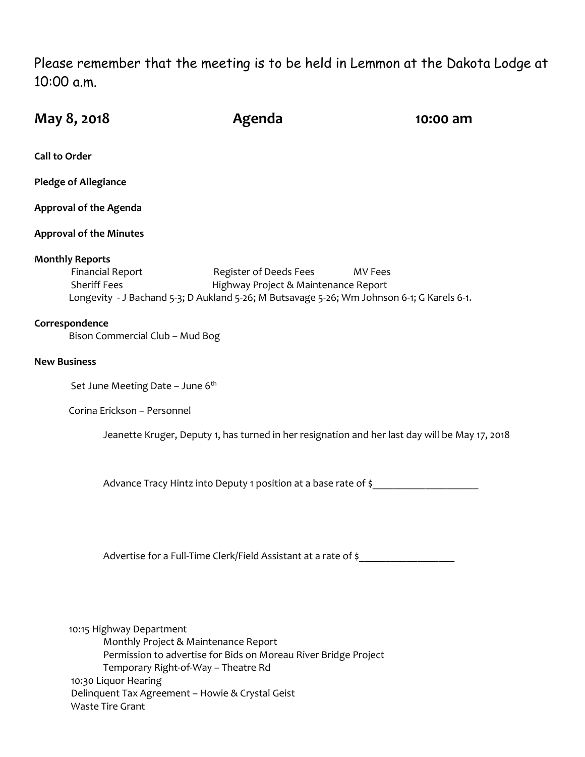Please remember that the meeting is to be held in Lemmon at the Dakota Lodge at 10:00 a.m.

| May 8, 2018                                                                                                                                                            | Agenda                                                                            | 10:00 am                                                                                       |
|------------------------------------------------------------------------------------------------------------------------------------------------------------------------|-----------------------------------------------------------------------------------|------------------------------------------------------------------------------------------------|
| <b>Call to Order</b>                                                                                                                                                   |                                                                                   |                                                                                                |
| <b>Pledge of Allegiance</b>                                                                                                                                            |                                                                                   |                                                                                                |
| <b>Approval of the Agenda</b>                                                                                                                                          |                                                                                   |                                                                                                |
| <b>Approval of the Minutes</b>                                                                                                                                         |                                                                                   |                                                                                                |
| <b>Monthly Reports</b><br><b>Financial Report</b><br><b>Sheriff Fees</b><br>Longevity - J Bachand 5-3; D Aukland 5-26; M Butsavage 5-26; Wm Johnson 6-1; G Karels 6-1. | Register of Deeds Fees<br>Highway Project & Maintenance Report                    | MV Fees                                                                                        |
| Correspondence<br>Bison Commercial Club - Mud Bog                                                                                                                      |                                                                                   |                                                                                                |
| <b>New Business</b>                                                                                                                                                    |                                                                                   |                                                                                                |
| Set June Meeting Date - June 6th                                                                                                                                       |                                                                                   |                                                                                                |
| Corina Erickson - Personnel                                                                                                                                            |                                                                                   |                                                                                                |
|                                                                                                                                                                        |                                                                                   | Jeanette Kruger, Deputy 1, has turned in her resignation and her last day will be May 17, 2018 |
| Advance Tracy Hintz into Deputy 1 position at a base rate of \$                                                                                                        |                                                                                   |                                                                                                |
|                                                                                                                                                                        | Advertise for a Full-Time Clerk/Field Assistant at a rate of \$__________________ |                                                                                                |
|                                                                                                                                                                        |                                                                                   |                                                                                                |

10:15 Highway Department Monthly Project & Maintenance Report Permission to advertise for Bids on Moreau River Bridge Project Temporary Right-of-Way – Theatre Rd 10:30 Liquor Hearing Delinquent Tax Agreement – Howie & Crystal Geist Waste Tire Grant